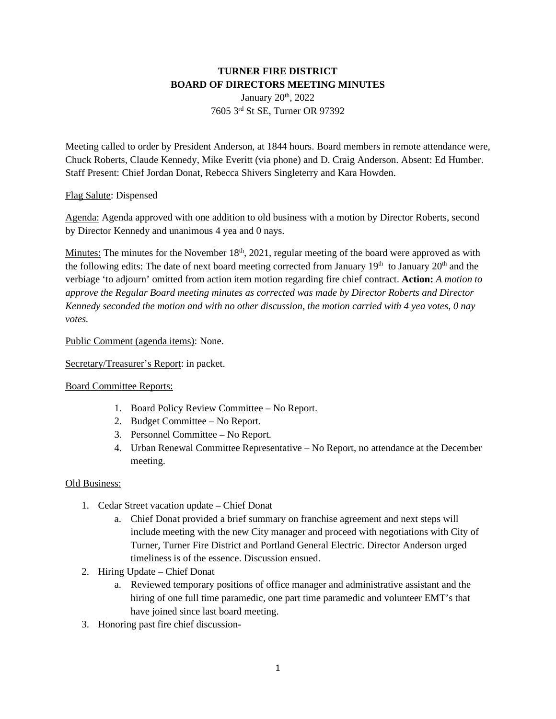# **TURNER FIRE DISTRICT BOARD OF DIRECTORS MEETING MINUTES**

January 20<sup>th</sup>, 2022 7605 3rd St SE, Turner OR 97392

Meeting called to order by President Anderson, at 1844 hours. Board members in remote attendance were, Chuck Roberts, Claude Kennedy, Mike Everitt (via phone) and D. Craig Anderson. Absent: Ed Humber. Staff Present: Chief Jordan Donat, Rebecca Shivers Singleterry and Kara Howden.

## Flag Salute: Dispensed

Agenda: Agenda approved with one addition to old business with a motion by Director Roberts, second by Director Kennedy and unanimous 4 yea and 0 nays.

Minutes: The minutes for the November  $18<sup>th</sup>$ , 2021, regular meeting of the board were approved as with the following edits: The date of next board meeting corrected from January  $19<sup>th</sup>$  to January  $20<sup>th</sup>$  and the verbiage 'to adjourn' omitted from action item motion regarding fire chief contract. **Action:** *A motion to approve the Regular Board meeting minutes as corrected was made by Director Roberts and Director Kennedy seconded the motion and with no other discussion, the motion carried with 4 yea votes, 0 nay votes.* 

Public Comment (agenda items): None.

#### Secretary/Treasurer's Report: in packet.

#### Board Committee Reports:

- 1. Board Policy Review Committee No Report.
- 2. Budget Committee No Report.
- 3. Personnel Committee No Report.
- 4. Urban Renewal Committee Representative No Report, no attendance at the December meeting.

#### Old Business:

- 1. Cedar Street vacation update Chief Donat
	- a. Chief Donat provided a brief summary on franchise agreement and next steps will include meeting with the new City manager and proceed with negotiations with City of Turner, Turner Fire District and Portland General Electric. Director Anderson urged timeliness is of the essence. Discussion ensued.
- 2. Hiring Update Chief Donat
	- a. Reviewed temporary positions of office manager and administrative assistant and the hiring of one full time paramedic, one part time paramedic and volunteer EMT's that have joined since last board meeting.
- 3. Honoring past fire chief discussion-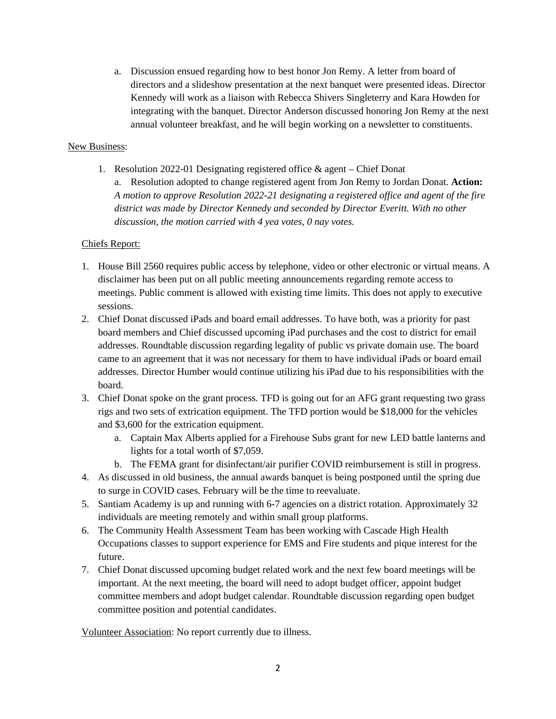a. Discussion ensued regarding how to best honor Jon Remy. A letter from board of directors and a slideshow presentation at the next banquet were presented ideas. Director Kennedy will work as a liaison with Rebecca Shivers Singleterry and Kara Howden for integrating with the banquet. Director Anderson discussed honoring Jon Remy at the next annual volunteer breakfast, and he will begin working on a newsletter to constituents.

#### New Business:

1. Resolution 2022-01 Designating registered office & agent – Chief Donat a. Resolution adopted to change registered agent from Jon Remy to Jordan Donat. **Action:** *A motion to approve Resolution 2022-21 designating a registered office and agent of the fire district was made by Director Kennedy and seconded by Director Everitt. With no other discussion, the motion carried with 4 yea votes, 0 nay votes.* 

## Chiefs Report:

- 1. House Bill 2560 requires public access by telephone, video or other electronic or virtual means. A disclaimer has been put on all public meeting announcements regarding remote access to meetings. Public comment is allowed with existing time limits. This does not apply to executive sessions.
- 2. Chief Donat discussed iPads and board email addresses. To have both, was a priority for past board members and Chief discussed upcoming iPad purchases and the cost to district for email addresses. Roundtable discussion regarding legality of public vs private domain use. The board came to an agreement that it was not necessary for them to have individual iPads or board email addresses. Director Humber would continue utilizing his iPad due to his responsibilities with the board.
- 3. Chief Donat spoke on the grant process. TFD is going out for an AFG grant requesting two grass rigs and two sets of extrication equipment. The TFD portion would be \$18,000 for the vehicles and \$3,600 for the extrication equipment.
	- a. Captain Max Alberts applied for a Firehouse Subs grant for new LED battle lanterns and lights for a total worth of \$7,059.
	- b. The FEMA grant for disinfectant/air purifier COVID reimbursement is still in progress.
- 4. As discussed in old business, the annual awards banquet is being postponed until the spring due to surge in COVID cases. February will be the time to reevaluate.
- 5. Santiam Academy is up and running with 6-7 agencies on a district rotation. Approximately 32 individuals are meeting remotely and within small group platforms.
- 6. The Community Health Assessment Team has been working with Cascade High Health Occupations classes to support experience for EMS and Fire students and pique interest for the future.
- 7. Chief Donat discussed upcoming budget related work and the next few board meetings will be important. At the next meeting, the board will need to adopt budget officer, appoint budget committee members and adopt budget calendar. Roundtable discussion regarding open budget committee position and potential candidates.

Volunteer Association: No report currently due to illness.